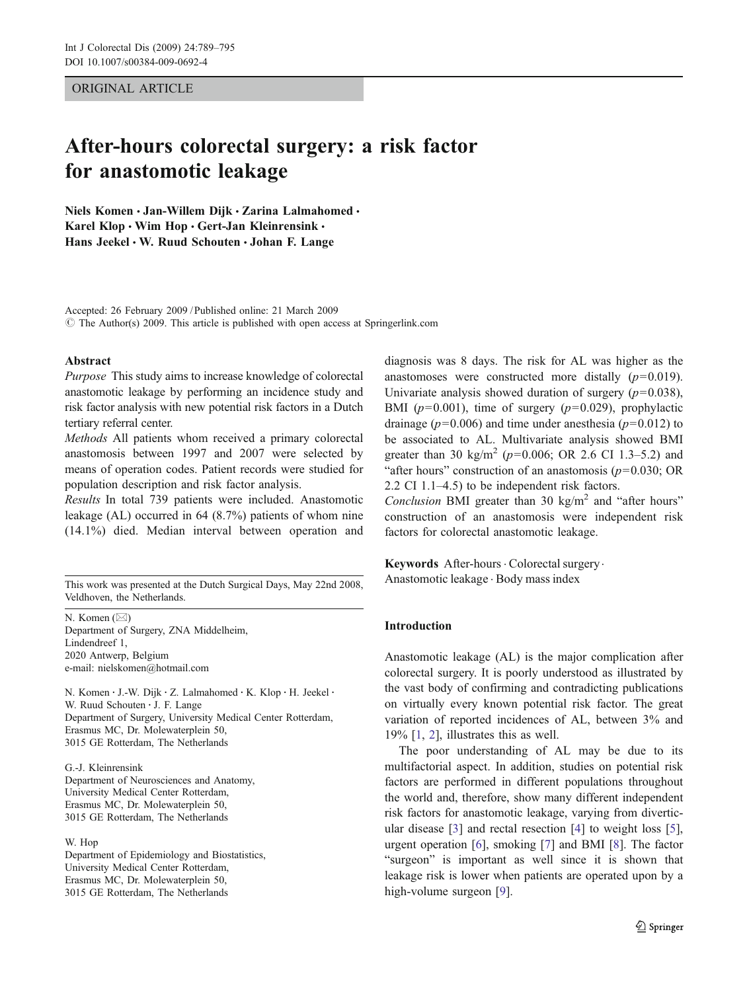ORIGINAL ARTICLE

# After-hours colorectal surgery: a risk factor for anastomotic leakage

Niels Komen · Jan-Willem Dijk · Zarina Lalmahomed · Karel Klop · Wim Hop · Gert-Jan Kleinrensink · Hans Jeekel • W. Ruud Schouten • Johan F. Lange

Accepted: 26 February 2009 / Published online: 21 March 2009  $\odot$  The Author(s) 2009. This article is published with open access at Springerlink.com

#### Abstract

Purpose This study aims to increase knowledge of colorectal anastomotic leakage by performing an incidence study and risk factor analysis with new potential risk factors in a Dutch tertiary referral center.

Methods All patients whom received a primary colorectal anastomosis between 1997 and 2007 were selected by means of operation codes. Patient records were studied for population description and risk factor analysis.

Results In total 739 patients were included. Anastomotic leakage (AL) occurred in 64 (8.7%) patients of whom nine (14.1%) died. Median interval between operation and

This work was presented at the Dutch Surgical Days, May 22nd 2008, Veldhoven, the Netherlands.

N. Komen (*\**) Department of Surgery, ZNA Middelheim, Lindendreef 1, 2020 Antwerp, Belgium e-mail: nielskomen@hotmail.com

N. Komen : J.-W. Dijk : Z. Lalmahomed : K. Klop : H. Jeekel : W. Ruud Schouten : J. F. Lange Department of Surgery, University Medical Center Rotterdam, Erasmus MC, Dr. Molewaterplein 50, 3015 GE Rotterdam, The Netherlands

G.-J. Kleinrensink Department of Neurosciences and Anatomy, University Medical Center Rotterdam, Erasmus MC, Dr. Molewaterplein 50, 3015 GE Rotterdam, The Netherlands

#### W. Hop

Department of Epidemiology and Biostatistics, University Medical Center Rotterdam, Erasmus MC, Dr. Molewaterplein 50, 3015 GE Rotterdam, The Netherlands

diagnosis was 8 days. The risk for AL was higher as the anastomoses were constructed more distally  $(p=0.019)$ . Univariate analysis showed duration of surgery  $(p=0.038)$ , BMI ( $p=0.001$ ), time of surgery ( $p=0.029$ ), prophylactic drainage ( $p=0.006$ ) and time under anesthesia ( $p=0.012$ ) to be associated to AL. Multivariate analysis showed BMI greater than 30 kg/m<sup>2</sup> ( $p=0.006$ ; OR 2.6 CI 1.3–5.2) and "after hours" construction of an anastomosis ( $p=0.030$ ; OR 2.2 CI 1.1–4.5) to be independent risk factors.

Conclusion BMI greater than 30 kg/m<sup>2</sup> and "after hours" construction of an anastomosis were independent risk factors for colorectal anastomotic leakage.

Keywords After-hours Colorectal surgery. Anastomotic leakage . Body mass index

#### Introduction

Anastomotic leakage (AL) is the major complication after colorectal surgery. It is poorly understood as illustrated by the vast body of confirming and contradicting publications on virtually every known potential risk factor. The great variation of reported incidences of AL, between 3% and 19% [[1,](#page-5-0) [2](#page-5-0)], illustrates this as well.

The poor understanding of AL may be due to its multifactorial aspect. In addition, studies on potential risk factors are performed in different populations throughout the world and, therefore, show many different independent risk factors for anastomotic leakage, varying from diverticular disease [[3\]](#page-5-0) and rectal resection [\[4](#page-5-0)] to weight loss [\[5](#page-5-0)], urgent operation [\[6](#page-5-0)], smoking [\[7](#page-5-0)] and BMI [\[8](#page-5-0)]. The factor "surgeon" is important as well since it is shown that leakage risk is lower when patients are operated upon by a high-volume surgeon [[9\]](#page-5-0).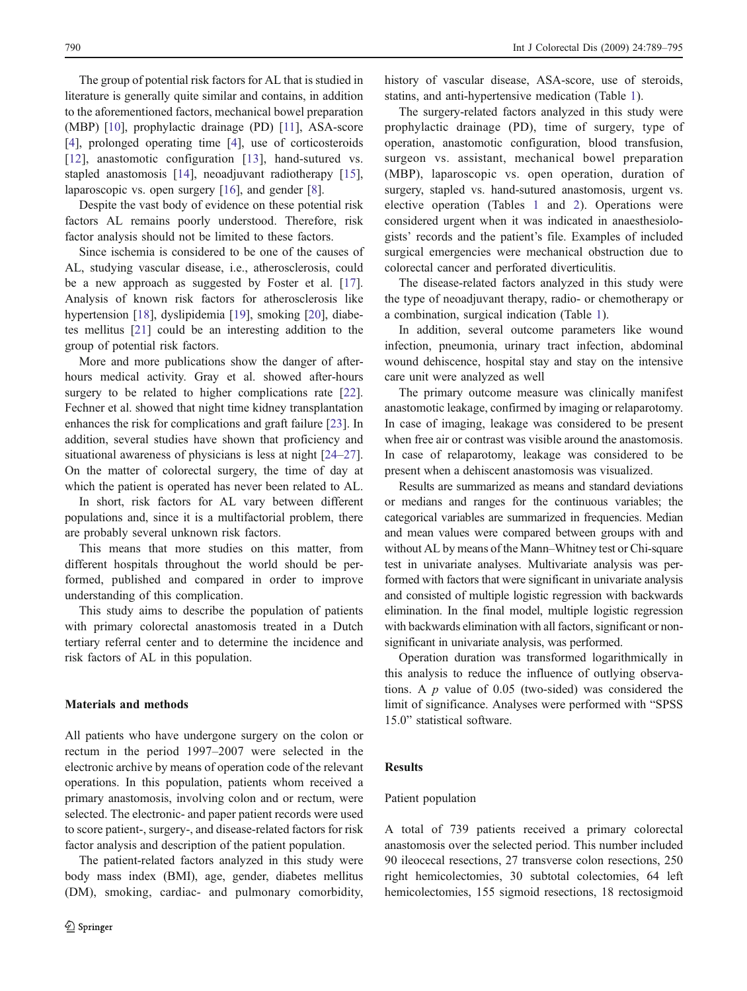The group of potential risk factors for AL that is studied in literature is generally quite similar and contains, in addition to the aforementioned factors, mechanical bowel preparation (MBP) [\[10](#page-5-0)], prophylactic drainage (PD) [[11\]](#page-5-0), ASA-score [[4\]](#page-5-0), prolonged operating time [\[4](#page-5-0)], use of corticosteroids [[12](#page-5-0)], anastomotic configuration [[13\]](#page-5-0), hand-sutured vs. stapled anastomosis [\[14](#page-6-0)], neoadjuvant radiotherapy [\[15](#page-6-0)], laparoscopic vs. open surgery [\[16](#page-6-0)], and gender [\[8](#page-5-0)].

Despite the vast body of evidence on these potential risk factors AL remains poorly understood. Therefore, risk factor analysis should not be limited to these factors.

Since ischemia is considered to be one of the causes of AL, studying vascular disease, i.e., atherosclerosis, could be a new approach as suggested by Foster et al. [\[17](#page-6-0)]. Analysis of known risk factors for atherosclerosis like hypertension [\[18](#page-6-0)], dyslipidemia [\[19](#page-6-0)], smoking [\[20](#page-6-0)], diabetes mellitus [\[21](#page-6-0)] could be an interesting addition to the group of potential risk factors.

More and more publications show the danger of afterhours medical activity. Gray et al. showed after-hours surgery to be related to higher complications rate [\[22](#page-6-0)]. Fechner et al. showed that night time kidney transplantation enhances the risk for complications and graft failure [\[23](#page-6-0)]. In addition, several studies have shown that proficiency and situational awareness of physicians is less at night [\[24](#page-6-0)–[27](#page-6-0)]. On the matter of colorectal surgery, the time of day at which the patient is operated has never been related to AL.

In short, risk factors for AL vary between different populations and, since it is a multifactorial problem, there are probably several unknown risk factors.

This means that more studies on this matter, from different hospitals throughout the world should be performed, published and compared in order to improve understanding of this complication.

This study aims to describe the population of patients with primary colorectal anastomosis treated in a Dutch tertiary referral center and to determine the incidence and risk factors of AL in this population.

#### Materials and methods

All patients who have undergone surgery on the colon or rectum in the period 1997–2007 were selected in the electronic archive by means of operation code of the relevant operations. In this population, patients whom received a primary anastomosis, involving colon and or rectum, were selected. The electronic- and paper patient records were used to score patient-, surgery-, and disease-related factors for risk factor analysis and description of the patient population.

The patient-related factors analyzed in this study were body mass index (BMI), age, gender, diabetes mellitus (DM), smoking, cardiac- and pulmonary comorbidity, history of vascular disease, ASA-score, use of steroids, statins, and anti-hypertensive medication (Table [1\)](#page-2-0).

The surgery-related factors analyzed in this study were prophylactic drainage (PD), time of surgery, type of operation, anastomotic configuration, blood transfusion, surgeon vs. assistant, mechanical bowel preparation (MBP), laparoscopic vs. open operation, duration of surgery, stapled vs. hand-sutured anastomosis, urgent vs. elective operation (Tables [1](#page-2-0) and [2\)](#page-3-0). Operations were considered urgent when it was indicated in anaesthesiologists' records and the patient's file. Examples of included surgical emergencies were mechanical obstruction due to colorectal cancer and perforated diverticulitis.

The disease-related factors analyzed in this study were the type of neoadjuvant therapy, radio- or chemotherapy or a combination, surgical indication (Table [1](#page-2-0)).

In addition, several outcome parameters like wound infection, pneumonia, urinary tract infection, abdominal wound dehiscence, hospital stay and stay on the intensive care unit were analyzed as well

The primary outcome measure was clinically manifest anastomotic leakage, confirmed by imaging or relaparotomy. In case of imaging, leakage was considered to be present when free air or contrast was visible around the anastomosis. In case of relaparotomy, leakage was considered to be present when a dehiscent anastomosis was visualized.

Results are summarized as means and standard deviations or medians and ranges for the continuous variables; the categorical variables are summarized in frequencies. Median and mean values were compared between groups with and without AL by means of the Mann–Whitney test or Chi-square test in univariate analyses. Multivariate analysis was performed with factors that were significant in univariate analysis and consisted of multiple logistic regression with backwards elimination. In the final model, multiple logistic regression with backwards elimination with all factors, significant or nonsignificant in univariate analysis, was performed.

Operation duration was transformed logarithmically in this analysis to reduce the influence of outlying observations. A  $p$  value of 0.05 (two-sided) was considered the limit of significance. Analyses were performed with "SPSS 15.0" statistical software.

## Results

## Patient population

A total of 739 patients received a primary colorectal anastomosis over the selected period. This number included 90 ileocecal resections, 27 transverse colon resections, 250 right hemicolectomies, 30 subtotal colectomies, 64 left hemicolectomies, 155 sigmoid resections, 18 rectosigmoid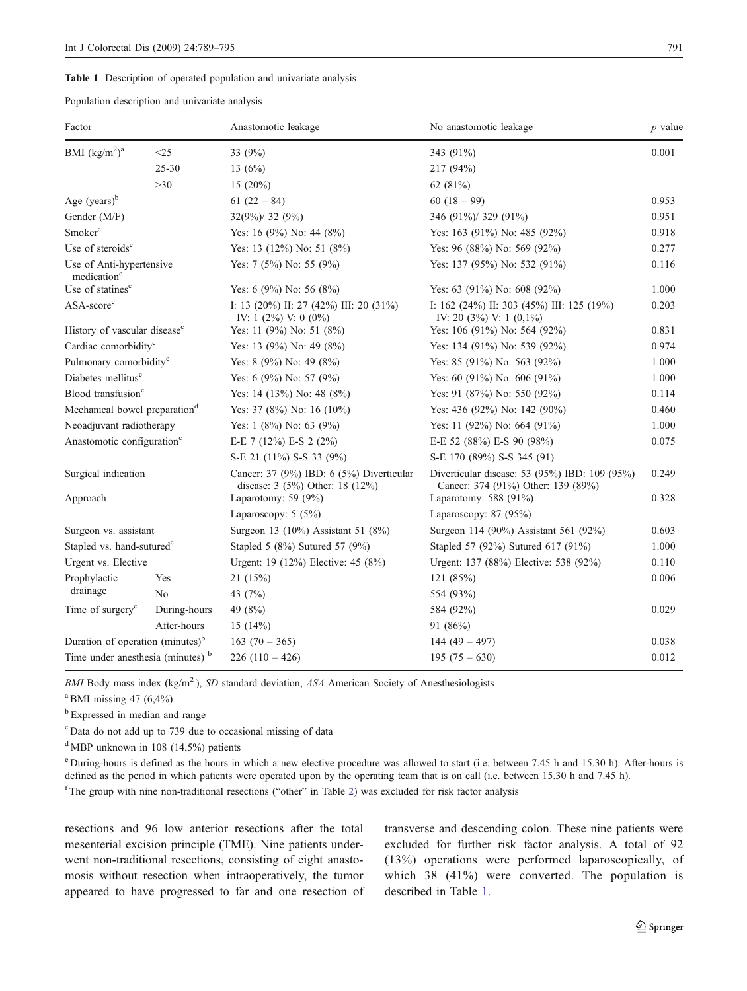#### <span id="page-2-0"></span>Table 1 Description of operated population and univariate analysis

| Factor                                              |                | Anastomotic leakage                                                           | No anastomotic leakage                                                              | $p$ value |  |
|-----------------------------------------------------|----------------|-------------------------------------------------------------------------------|-------------------------------------------------------------------------------------|-----------|--|
| BMI $(kg/m2)a$                                      | <25            | 33 $(9%)$                                                                     | 343 (91%)                                                                           | 0.001     |  |
|                                                     | $25 - 30$      | 13 $(6%)$                                                                     | 217 (94%)                                                                           |           |  |
|                                                     | $>30$          | $15(20\%)$                                                                    | 62 $(81\%)$                                                                         |           |  |
| Age $(years)^{b}$                                   |                | 61 $(22 - 84)$                                                                | $60(18-99)$                                                                         | 0.953     |  |
| Gender (M/F)                                        |                | $32(9\%)/32(9\%)$                                                             | 346 (91%)/ 329 (91%)                                                                | 0.951     |  |
| Smoker <sup>c</sup>                                 |                | Yes: 16 $(9\%)$ No: 44 $(8\%)$                                                | Yes: 163 (91%) No: 485 (92%)                                                        | 0.918     |  |
| Use of steroids <sup>c</sup>                        |                | Yes: 13 (12%) No: 51 (8%)                                                     | Yes: 96 (88%) No: 569 (92%)                                                         | 0.277     |  |
| Use of Anti-hypertensive<br>medication <sup>c</sup> |                | Yes: 7 $(5\%)$ No: 55 $(9\%)$                                                 | Yes: 137 (95%) No: 532 (91%)                                                        | 0.116     |  |
| Use of statines <sup>c</sup>                        |                | Yes: 6 (9%) No: 56 (8%)                                                       | Yes: 63 (91%) No: 608 (92%)                                                         | 1.000     |  |
| ASA-score <sup>c</sup>                              |                | I: 13 (20%) II: 27 (42%) III: 20 (31%)<br>IV: 1 $(2\%)$ V: 0 $(0\%)$          | I: 162 (24%) II: 303 (45%) III: 125 (19%)<br>IV: 20 $(3\%)$ V: 1 $(0,1\%)$          | 0.203     |  |
| History of vascular disease <sup>c</sup>            |                | Yes: 11 (9%) No: 51 (8%)                                                      | Yes: 106 (91%) No: 564 (92%)                                                        | 0.831     |  |
| Cardiac comorbidity <sup>c</sup>                    |                | Yes: 13 (9%) No: 49 (8%)                                                      | Yes: 134 (91%) No: 539 (92%)                                                        | 0.974     |  |
| Pulmonary comorbidity <sup>c</sup>                  |                | Yes: $8(9\%)$ No: $49(8\%)$                                                   | Yes: 85 (91%) No: 563 (92%)                                                         | 1.000     |  |
| Diabetes mellitus <sup>c</sup>                      |                | Yes: 6 $(9\%)$ No: 57 $(9\%)$                                                 | Yes: 60 (91%) No: 606 (91%)                                                         | 1.000     |  |
| Blood transfusion <sup>c</sup>                      |                | Yes: 14 $(13\%)$ No: 48 $(8\%)$                                               | Yes: 91 (87%) No: 550 (92%)                                                         | 0.114     |  |
| Mechanical bowel preparation <sup>d</sup>           |                | Yes: 37 (8%) No: 16 (10%)                                                     | Yes: 436 (92%) No: 142 (90%)                                                        | 0.460     |  |
| Neoadjuvant radiotherapy                            |                | Yes: $1(8\%)$ No: 63 (9%)                                                     | Yes: 11 (92%) No: 664 (91%)                                                         | 1.000     |  |
| Anastomotic configuration <sup>c</sup>              |                | E-E 7 (12%) E-S 2 (2%)                                                        | E-E 52 (88%) E-S 90 (98%)                                                           | 0.075     |  |
|                                                     |                | S-E 21 (11%) S-S 33 (9%)                                                      | S-E 170 (89%) S-S 345 (91)                                                          |           |  |
| Surgical indication                                 |                | Cancer: 37 (9%) IBD: 6 (5%) Diverticular<br>disease: $3(5\%)$ Other: 18 (12%) | Diverticular disease: 53 (95%) IBD: 109 (95%)<br>Cancer: 374 (91%) Other: 139 (89%) | 0.249     |  |
| Approach                                            |                | Laparotomy: 59 $(9\%)$                                                        | Laparotomy: 588 (91%)                                                               | 0.328     |  |
|                                                     |                | Laparoscopy: $5(5%)$                                                          | Laparoscopy: 87 (95%)                                                               |           |  |
| Surgeon vs. assistant                               |                | Surgeon 13 (10%) Assistant 51 (8%)                                            | Surgeon 114 (90%) Assistant 561 (92%)                                               | 0.603     |  |
| Stapled vs. hand-sutured <sup>c</sup>               |                | Stapled 5 (8%) Sutured 57 (9%)                                                | Stapled 57 (92%) Sutured 617 (91%)                                                  | 1.000     |  |
| Urgent vs. Elective                                 |                | Urgent: 19 (12%) Elective: 45 (8%)                                            | Urgent: 137 (88%) Elective: 538 (92%)                                               | 0.110     |  |
| Prophylactic<br>drainage                            | Yes            | 21(15%)                                                                       | 121 (85%)                                                                           | 0.006     |  |
|                                                     | N <sub>0</sub> | 43 (7%)                                                                       | 554 (93%)                                                                           |           |  |
| Time of surgery <sup>e</sup>                        | During-hours   | 49 (8%)                                                                       | 584 (92%)                                                                           | 0.029     |  |
|                                                     | After-hours    | 15 $(14%)$                                                                    | 91(86%)                                                                             |           |  |
| Duration of operation (minutes) <sup>b</sup>        |                | $163(70-365)$                                                                 | 144 $(49 - 497)$                                                                    | 0.038     |  |
| Time under anesthesia (minutes) b                   |                | $226(110-426)$                                                                | 195 $(75 - 630)$                                                                    | 0.012     |  |

Population description and univariate analysis

BMI Body mass index (kg/m<sup>2</sup>), SD standard deviation, ASA American Society of Anesthesiologists

a BMI missing 47 (6,4%)

<sup>b</sup> Expressed in median and range

<sup>c</sup> Data do not add up to 739 due to occasional missing of data

 $d$ MBP unknown in 108 (14,5%) patients

<sup>e</sup> During-hours is defined as the hours in which a new elective procedure was allowed to start (i.e. between 7.45 h and 15.30 h). After-hours is defined as the period in which patients were operated upon by the operating team that is on call (i.e. between 15.30 h and 7.45 h).

<sup>f</sup> The group with nine non-traditional resections ("other" in Table [2](#page-3-0)) was excluded for risk factor analysis

resections and 96 low anterior resections after the total mesenterial excision principle (TME). Nine patients underwent non-traditional resections, consisting of eight anastomosis without resection when intraoperatively, the tumor appeared to have progressed to far and one resection of

transverse and descending colon. These nine patients were excluded for further risk factor analysis. A total of 92 (13%) operations were performed laparoscopically, of which 38 (41%) were converted. The population is described in Table 1.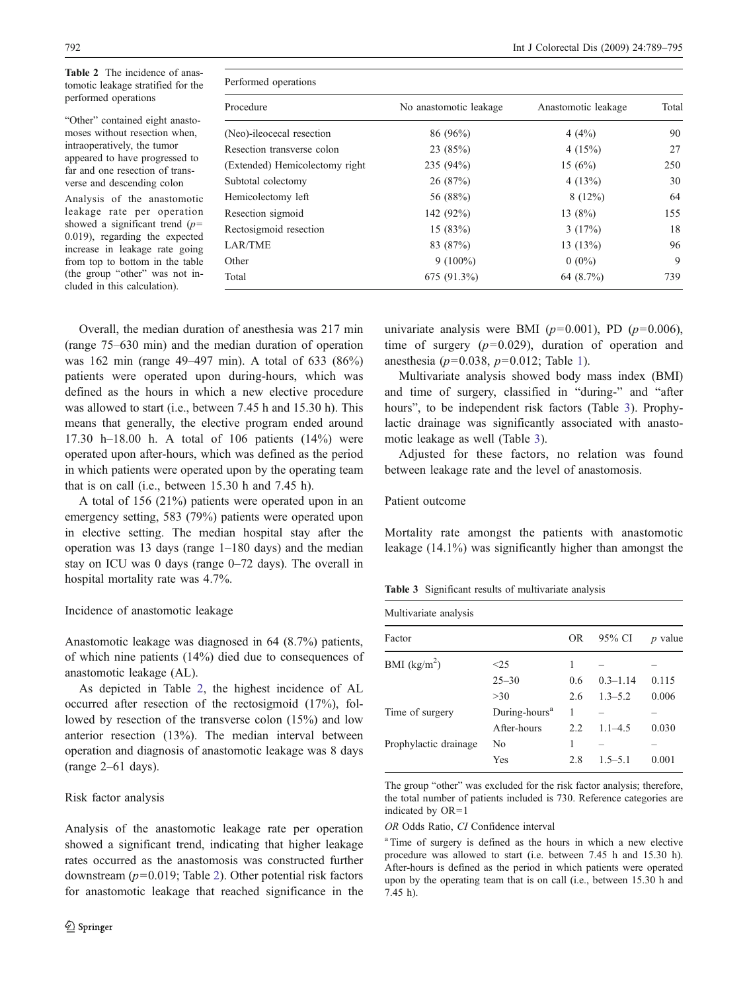<span id="page-3-0"></span>Table 2 The incidence of anastomotic leakage stratified for the performed operations

"Other" contained eight anastomoses without resection when, intraoperatively, the tumor appeared to have progressed to far and one resection of transverse and descending colon

Analysis of the anastomotic leakage rate per operation showed a significant trend  $(p=$ 0.019), regarding the expected increase in leakage rate going from top to bottom in the table (the group "other" was not included in this calculation).

| Performed operations           |                        |                     |       |  |  |  |
|--------------------------------|------------------------|---------------------|-------|--|--|--|
| Procedure                      | No anastomotic leakage | Anastomotic leakage | Total |  |  |  |
| (Neo)-ileocecal resection      | 86 (96%)               | 4 $(4%)$            | 90    |  |  |  |
| Resection transverse colon     | 23 (85%)               | 4(15%)              | 27    |  |  |  |
| (Extended) Hemicolectomy right | 235(94%)               | 15(6%)              | 250   |  |  |  |
| Subtotal colectomy             | 26 (87%)               | 4(13%)              | 30    |  |  |  |
| Hemicolectomy left             | 56 (88%)               | 8(12%)              | 64    |  |  |  |
| Resection sigmoid              | 142 (92%)              | 13 $(8%)$           | 155   |  |  |  |
| Rectosigmoid resection         | 15(83%)                | 3(17%)              | 18    |  |  |  |
| LAR/TME                        | 83 (87%)               | 13(13%)             | 96    |  |  |  |
| Other                          | $9(100\%)$             | $0(0\%)$            | 9     |  |  |  |
| Total                          | 675 (91.3%)            | 64 $(8.7\%)$        | 739   |  |  |  |

Overall, the median duration of anesthesia was 217 min (range 75–630 min) and the median duration of operation was 162 min (range 49–497 min). A total of 633 (86%) patients were operated upon during-hours, which was defined as the hours in which a new elective procedure was allowed to start (i.e., between 7.45 h and 15.30 h). This means that generally, the elective program ended around 17.30 h–18.00 h. A total of 106 patients (14%) were operated upon after-hours, which was defined as the period in which patients were operated upon by the operating team that is on call (i.e., between 15.30 h and 7.45 h).

A total of 156 (21%) patients were operated upon in an emergency setting, 583 (79%) patients were operated upon in elective setting. The median hospital stay after the operation was 13 days (range 1–180 days) and the median stay on ICU was 0 days (range 0–72 days). The overall in hospital mortality rate was 4.7%.

#### Incidence of anastomotic leakage

Anastomotic leakage was diagnosed in 64 (8.7%) patients, of which nine patients (14%) died due to consequences of anastomotic leakage (AL).

As depicted in Table 2, the highest incidence of AL occurred after resection of the rectosigmoid (17%), followed by resection of the transverse colon (15%) and low anterior resection (13%). The median interval between operation and diagnosis of anastomotic leakage was 8 days (range 2–61 days).

#### Risk factor analysis

Analysis of the anastomotic leakage rate per operation showed a significant trend, indicating that higher leakage rates occurred as the anastomosis was constructed further downstream ( $p=0.019$ ; Table 2). Other potential risk factors for anastomotic leakage that reached significance in the

univariate analysis were BMI ( $p=0.001$ ), PD ( $p=0.006$ ), time of surgery  $(p=0.029)$ , duration of operation and anesthesia ( $p=0.038$ ,  $p=0.012$  $p=0.012$  $p=0.012$ ; Table 1).

Multivariate analysis showed body mass index (BMI) and time of surgery, classified in "during-" and "after hours", to be independent risk factors (Table 3). Prophylactic drainage was significantly associated with anastomotic leakage as well (Table 3).

Adjusted for these factors, no relation was found between leakage rate and the level of anastomosis.

#### Patient outcome

Multivariate analysis

Mortality rate amongst the patients with anastomotic leakage (14.1%) was significantly higher than amongst the

Table 3 Significant results of multivariate analysis

| Multivariate analysis |                           |           |              |           |  |  |
|-----------------------|---------------------------|-----------|--------------|-----------|--|--|
| Factor                |                           | <b>OR</b> | 95% CI       | $p$ value |  |  |
| BMI $(kg/m2)$         | $\leq$ 25                 |           |              |           |  |  |
|                       | $25 - 30$                 | 0.6       | $0.3 - 1.14$ | 0.115     |  |  |
|                       | >30                       | 2.6       | $1.3 - 5.2$  | 0.006     |  |  |
| Time of surgery       | During-hours <sup>a</sup> | 1         |              |           |  |  |
|                       | After-hours               | 2.2.      | $1.1 - 4.5$  | 0.030     |  |  |
| Prophylactic drainage | No                        |           |              |           |  |  |
|                       | Yes                       | 2.8       | $1.5 - 5.1$  | 0.001     |  |  |
|                       |                           |           |              |           |  |  |

The group "other" was excluded for the risk factor analysis; therefore, the total number of patients included is 730. Reference categories are indicated by OR=1

OR Odds Ratio, CI Confidence interval

<sup>a</sup> Time of surgery is defined as the hours in which a new elective procedure was allowed to start (i.e. between 7.45 h and 15.30 h). After-hours is defined as the period in which patients were operated upon by the operating team that is on call (i.e., between 15.30 h and 7.45 h).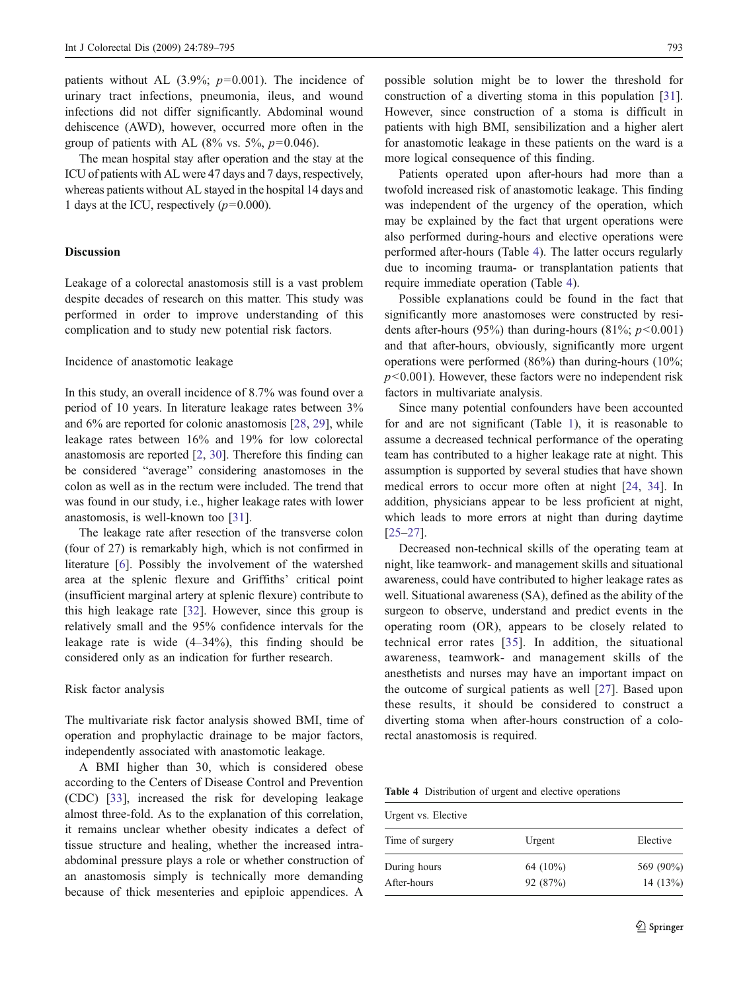patients without AL  $(3.9\%; p=0.001)$ . The incidence of urinary tract infections, pneumonia, ileus, and wound infections did not differ significantly. Abdominal wound dehiscence (AWD), however, occurred more often in the group of patients with AL (8% vs. 5%,  $p=0.046$ ).

The mean hospital stay after operation and the stay at the ICU of patients with AL were 47 days and 7 days, respectively, whereas patients without AL stayed in the hospital 14 days and 1 days at the ICU, respectively  $(p=0.000)$ .

# Discussion

Leakage of a colorectal anastomosis still is a vast problem despite decades of research on this matter. This study was performed in order to improve understanding of this complication and to study new potential risk factors.

#### Incidence of anastomotic leakage

In this study, an overall incidence of 8.7% was found over a period of 10 years. In literature leakage rates between 3% and 6% are reported for colonic anastomosis [\[28](#page-6-0), [29\]](#page-6-0), while leakage rates between 16% and 19% for low colorectal anastomosis are reported [[2,](#page-5-0) [30](#page-6-0)]. Therefore this finding can be considered "average" considering anastomoses in the colon as well as in the rectum were included. The trend that was found in our study, i.e., higher leakage rates with lower anastomosis, is well-known too [\[31](#page-6-0)].

The leakage rate after resection of the transverse colon (four of 27) is remarkably high, which is not confirmed in literature [\[6](#page-5-0)]. Possibly the involvement of the watershed area at the splenic flexure and Griffiths' critical point (insufficient marginal artery at splenic flexure) contribute to this high leakage rate [\[32](#page-6-0)]. However, since this group is relatively small and the 95% confidence intervals for the leakage rate is wide (4–34%), this finding should be considered only as an indication for further research.

#### Risk factor analysis

The multivariate risk factor analysis showed BMI, time of operation and prophylactic drainage to be major factors, independently associated with anastomotic leakage.

A BMI higher than 30, which is considered obese according to the Centers of Disease Control and Prevention (CDC) [[33\]](#page-6-0), increased the risk for developing leakage almost three-fold. As to the explanation of this correlation, it remains unclear whether obesity indicates a defect of tissue structure and healing, whether the increased intraabdominal pressure plays a role or whether construction of an anastomosis simply is technically more demanding because of thick mesenteries and epiploic appendices. A

possible solution might be to lower the threshold for construction of a diverting stoma in this population [\[31](#page-6-0)]. However, since construction of a stoma is difficult in patients with high BMI, sensibilization and a higher alert for anastomotic leakage in these patients on the ward is a more logical consequence of this finding.

Patients operated upon after-hours had more than a twofold increased risk of anastomotic leakage. This finding was independent of the urgency of the operation, which may be explained by the fact that urgent operations were also performed during-hours and elective operations were performed after-hours (Table 4). The latter occurs regularly due to incoming trauma- or transplantation patients that require immediate operation (Table 4).

Possible explanations could be found in the fact that significantly more anastomoses were constructed by residents after-hours (95%) than during-hours (81%;  $p < 0.001$ ) and that after-hours, obviously, significantly more urgent operations were performed (86%) than during-hours (10%;  $p<0.001$ ). However, these factors were no independent risk factors in multivariate analysis.

Since many potential confounders have been accounted for and are not significant (Table [1\)](#page-2-0), it is reasonable to assume a decreased technical performance of the operating team has contributed to a higher leakage rate at night. This assumption is supported by several studies that have shown medical errors to occur more often at night [\[24](#page-6-0), [34](#page-6-0)]. In addition, physicians appear to be less proficient at night, which leads to more errors at night than during daytime [\[25](#page-6-0)–[27\]](#page-6-0).

Decreased non-technical skills of the operating team at night, like teamwork- and management skills and situational awareness, could have contributed to higher leakage rates as well. Situational awareness (SA), defined as the ability of the surgeon to observe, understand and predict events in the operating room (OR), appears to be closely related to technical error rates [\[35\]](#page-6-0). In addition, the situational awareness, teamwork- and management skills of the anesthetists and nurses may have an important impact on the outcome of surgical patients as well [[27\]](#page-6-0). Based upon these results, it should be considered to construct a diverting stoma when after-hours construction of a colorectal anastomosis is required.

Table 4 Distribution of urgent and elective operations

| Urgent vs. Elective         |                         |                         |  |  |  |
|-----------------------------|-------------------------|-------------------------|--|--|--|
| Time of surgery             | Urgent                  | Elective                |  |  |  |
| During hours<br>After-hours | 64 $(10\%)$<br>92 (87%) | 569 (90%)<br>14 $(13%)$ |  |  |  |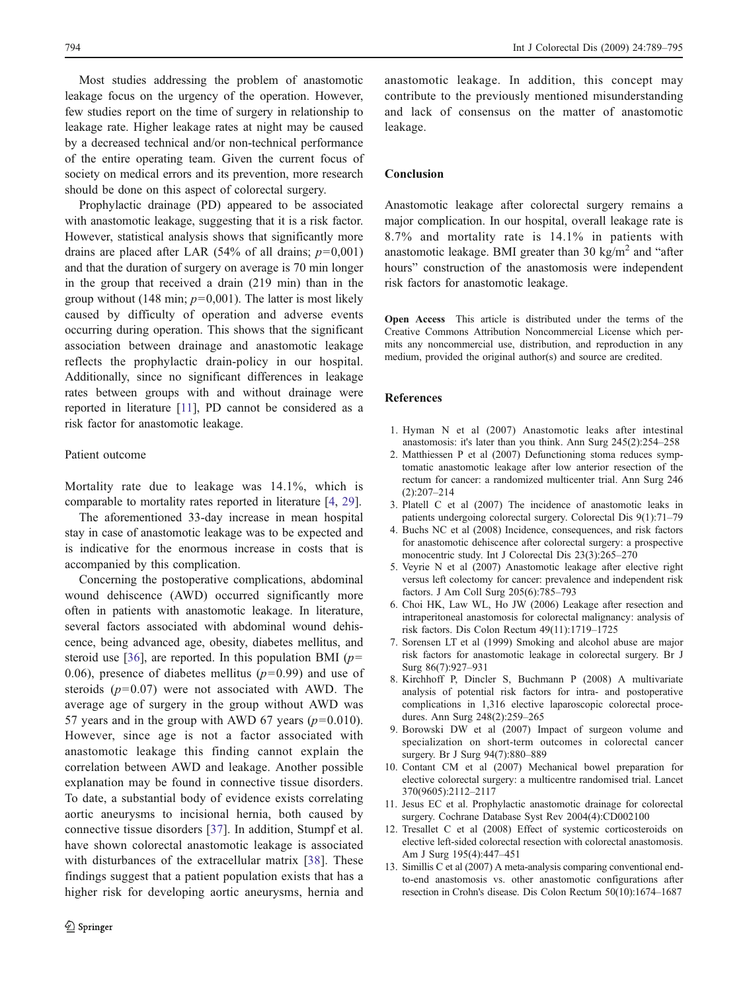<span id="page-5-0"></span>Most studies addressing the problem of anastomotic leakage focus on the urgency of the operation. However, few studies report on the time of surgery in relationship to leakage rate. Higher leakage rates at night may be caused by a decreased technical and/or non-technical performance of the entire operating team. Given the current focus of society on medical errors and its prevention, more research should be done on this aspect of colorectal surgery.

Prophylactic drainage (PD) appeared to be associated with anastomotic leakage, suggesting that it is a risk factor. However, statistical analysis shows that significantly more drains are placed after LAR (54% of all drains;  $p=0,001$ ) and that the duration of surgery on average is 70 min longer in the group that received a drain (219 min) than in the group without (148 min;  $p=0,001$ ). The latter is most likely caused by difficulty of operation and adverse events occurring during operation. This shows that the significant association between drainage and anastomotic leakage reflects the prophylactic drain-policy in our hospital. Additionally, since no significant differences in leakage rates between groups with and without drainage were reported in literature [11], PD cannot be considered as a risk factor for anastomotic leakage.

#### Patient outcome

Mortality rate due to leakage was 14.1%, which is comparable to mortality rates reported in literature [4, [29\]](#page-6-0).

The aforementioned 33-day increase in mean hospital stay in case of anastomotic leakage was to be expected and is indicative for the enormous increase in costs that is accompanied by this complication.

Concerning the postoperative complications, abdominal wound dehiscence (AWD) occurred significantly more often in patients with anastomotic leakage. In literature, several factors associated with abdominal wound dehiscence, being advanced age, obesity, diabetes mellitus, and steroid use [[36\]](#page-6-0), are reported. In this population BMI ( $p=$ 0.06), presence of diabetes mellitus ( $p=0.99$ ) and use of steroids  $(p=0.07)$  were not associated with AWD. The average age of surgery in the group without AWD was 57 years and in the group with AWD 67 years  $(p=0.010)$ . However, since age is not a factor associated with anastomotic leakage this finding cannot explain the correlation between AWD and leakage. Another possible explanation may be found in connective tissue disorders. To date, a substantial body of evidence exists correlating aortic aneurysms to incisional hernia, both caused by connective tissue disorders [[37](#page-6-0)]. In addition, Stumpf et al. have shown colorectal anastomotic leakage is associated with disturbances of the extracellular matrix [[38\]](#page-6-0). These findings suggest that a patient population exists that has a higher risk for developing aortic aneurysms, hernia and anastomotic leakage. In addition, this concept may contribute to the previously mentioned misunderstanding and lack of consensus on the matter of anastomotic leakage.

#### Conclusion

Anastomotic leakage after colorectal surgery remains a major complication. In our hospital, overall leakage rate is 8.7% and mortality rate is 14.1% in patients with anastomotic leakage. BMI greater than 30 kg/m<sup>2</sup> and "after hours" construction of the anastomosis were independent risk factors for anastomotic leakage.

Open Access This article is distributed under the terms of the Creative Commons Attribution Noncommercial License which permits any noncommercial use, distribution, and reproduction in any medium, provided the original author(s) and source are credited.

#### References

- 1. Hyman N et al (2007) Anastomotic leaks after intestinal anastomosis: it's later than you think. Ann Surg 245(2):254–258
- 2. Matthiessen P et al (2007) Defunctioning stoma reduces symptomatic anastomotic leakage after low anterior resection of the rectum for cancer: a randomized multicenter trial. Ann Surg 246 (2):207–214
- 3. Platell C et al (2007) The incidence of anastomotic leaks in patients undergoing colorectal surgery. Colorectal Dis 9(1):71–79
- 4. Buchs NC et al (2008) Incidence, consequences, and risk factors for anastomotic dehiscence after colorectal surgery: a prospective monocentric study. Int J Colorectal Dis 23(3):265–270
- 5. Veyrie N et al (2007) Anastomotic leakage after elective right versus left colectomy for cancer: prevalence and independent risk factors. J Am Coll Surg 205(6):785–793
- 6. Choi HK, Law WL, Ho JW (2006) Leakage after resection and intraperitoneal anastomosis for colorectal malignancy: analysis of risk factors. Dis Colon Rectum 49(11):1719–1725
- 7. Sorensen LT et al (1999) Smoking and alcohol abuse are major risk factors for anastomotic leakage in colorectal surgery. Br J Surg 86(7):927–931
- 8. Kirchhoff P, Dincler S, Buchmann P (2008) A multivariate analysis of potential risk factors for intra- and postoperative complications in 1,316 elective laparoscopic colorectal procedures. Ann Surg 248(2):259–265
- 9. Borowski DW et al (2007) Impact of surgeon volume and specialization on short-term outcomes in colorectal cancer surgery. Br J Surg 94(7):880–889
- 10. Contant CM et al (2007) Mechanical bowel preparation for elective colorectal surgery: a multicentre randomised trial. Lancet 370(9605):2112–2117
- 11. Jesus EC et al. Prophylactic anastomotic drainage for colorectal surgery. Cochrane Database Syst Rev 2004(4):CD002100
- 12. Tresallet C et al (2008) Effect of systemic corticosteroids on elective left-sided colorectal resection with colorectal anastomosis. Am J Surg 195(4):447–451
- 13. Simillis C et al (2007) A meta-analysis comparing conventional endto-end anastomosis vs. other anastomotic configurations after resection in Crohn's disease. Dis Colon Rectum 50(10):1674–1687